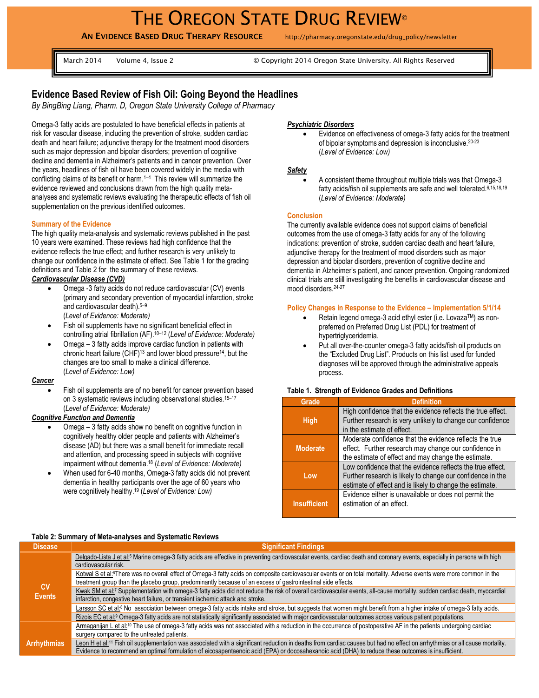# THE OREGON STATE DRUG REVIEW<sup>®</sup>

**AN EVIDENCE BASED DRUG THERAPY RESOURCE** http://pharmacy.oregonstate.edu/drug\_policy/newsletter

March 2014 Volume 4, Issue 2 © Copyright 2014 Oregon State University. All Rights Reserved

# **Evidence Based Review of Fish Oil: Going Beyond the Headlines**

*By BingBing Liang, Pharm. D, Oregon State University College of Pharmacy*

Omega-3 fatty acids are postulated to have beneficial effects in patients at risk for vascular disease, including the prevention of stroke, sudden cardiac death and heart failure; adjunctive therapy for the treatment mood disorders such as major depression and bipolar disorders; prevention of cognitive decline and dementia in Alzheimer's patients and in cancer prevention. Over the years, headlines of fish oil have been covered widely in the media with conflicting claims of its benefit or harm. <sup>1</sup>–<sup>4</sup> This review will summarize the evidence reviewed and conclusions drawn from the high quality metaanalyses and systematic reviews evaluating the therapeutic effects of fish oil supplementation on the previous identified outcomes.

## **Summary of the Evidence**

The high quality meta-analysis and systematic reviews published in the past 10 years were examined. These reviews had high confidence that the evidence reflects the true effect; and further research is very unlikely to change our confidence in the estimate of effect. See Table 1 for the grading definitions and Table 2 for the summary of these reviews.

# *Cardiovascular Disease (CVD)*

- Omega -3 fatty acids do not reduce cardiovascular (CV) events (primary and secondary prevention of myocardial infarction, stroke and cardiovascular death). 5–9 (*Level of Evidence: Moderate)*
- Fish oil supplements have no significant beneficial effect in controlling atrial fibrillation (AF). <sup>10</sup>–<sup>12</sup> (*Level of Evidence: Moderate)*
- Omega 3 fatty acids improve cardiac function in patients with chronic heart failure (CHF)<sup>13</sup> and lower blood pressure<sup>14</sup>, but the changes are too small to make a clinical difference. (*Level of Evidence: Low)*

*Cancer*

 Fish oil supplements are of no benefit for cancer prevention based on 3 systematic reviews including observational studies.<sup>15-17</sup> (*Level of Evidence: Moderate)*

### *Cognitive Function and Dementia*

- Omega 3 fatty acids show no benefit on cognitive function in cognitively healthy older people and patients with Alzheimer's disease (AD) but there was a small benefit for immediate recall and attention, and processing speed in subjects with cognitive impairment without dementia. <sup>18</sup> (*Level of Evidence: Moderate)*
- When used for 6-40 months, Omega-3 fatty acids did not prevent dementia in healthy participants over the age of 60 years who were cognitively healthy. <sup>19</sup> (*Level of Evidence: Low)*

#### *Psychiatric Disorders*

 Evidence on effectiveness of omega-3 fatty acids for the treatment of bipolar symptoms and depression is inconclusive.20-23 (*Level of Evidence: Low)*

#### *Safety*

 A consistent theme throughout multiple trials was that Omega-3 fatty acids/fish oil supplements are safe and well tolerated. 6,15,18,19 (*Level of Evidence: Moderate)*

#### **Conclusion**

The currently available evidence does not support claims of beneficial outcomes from the use of omega-3 fatty acids for any of the following indications: prevention of stroke, sudden cardiac death and heart failure, adjunctive therapy for the treatment of mood disorders such as major depression and bipolar disorders, prevention of cognitive decline and dementia in Alzheimer's patient, and cancer prevention. Ongoing randomized clinical trials are still investigating the benefits in cardiovascular disease and mood disorders. 24-27

#### **Policy Changes in Response to the Evidence – Implementation 5/1/14**

- Retain legend omega-3 acid ethyl ester (i.e. Lovaza™) as nonpreferred on Preferred Drug List (PDL) for treatment of hypertriglyceridemia.
- Put all over-the-counter omega-3 fatty acids/fish oil products on the "Excluded Drug List". Products on this list used for funded diagnoses will be approved through the administrative appeals process.

#### **Table 1. Strength of Evidence Grades and Definitions**

| Grade               | <b>Definition</b>                                                                                                                                                                    |
|---------------------|--------------------------------------------------------------------------------------------------------------------------------------------------------------------------------------|
| <b>High</b>         | High confidence that the evidence reflects the true effect.<br>Further research is very unlikely to change our confidence<br>in the estimate of effect.                              |
| <b>Moderate</b>     | Moderate confidence that the evidence reflects the true<br>effect. Further research may change our confidence in<br>the estimate of effect and may change the estimate.              |
| Low                 | Low confidence that the evidence reflects the true effect.<br>Further research is likely to change our confidence in the<br>estimate of effect and is likely to change the estimate. |
| <b>Insufficient</b> | Evidence either is unavailable or does not permit the<br>estimation of an effect.                                                                                                    |

#### **Table 2: Summary of Meta-analyses and Systematic Reviews**

| <b>Disease</b>             | <b>Significant Findings</b>                                                                                                                                                                                                                                                                                                                   |
|----------------------------|-----------------------------------------------------------------------------------------------------------------------------------------------------------------------------------------------------------------------------------------------------------------------------------------------------------------------------------------------|
| <b>CV</b><br><b>Events</b> | Delgado-Lista J et al: <sup>5</sup> Marine omega-3 fatty acids are effective in preventing cardiovascular events, cardiac death and coronary events, especially in persons with high<br>cardiovascular risk.                                                                                                                                  |
|                            | Kotwal S et al <sup>-6</sup> There was no overall effect of Omega-3 fatty acids on composite cardiovascular events or on total mortality. Adverse events were more common in the<br>treatment group than the placebo group, predominantly because of an excess of gastrointestinal side effects.                                              |
|                            | Kwak SM et al:7 Supplementation with omega-3 fatty acids did not reduce the risk of overall cardiovascular events, all-cause mortality, sudden cardiac death, myocardial<br>infarction, congestive heart failure, or transient ischemic attack and stroke.                                                                                    |
|                            | Larsson SC et al. <sup>®</sup> No association between omega-3 fatty acids intake and stroke, but suggests that women might benefit from a higher intake of omega-3 fatty acids.                                                                                                                                                               |
|                            | Rizois EC et al: <sup>9</sup> Omega-3 fatty acids are not statistically significantly associated with major cardiovascular outcomes across various patient populations.                                                                                                                                                                       |
|                            | Armaganijan L et al: <sup>10</sup> The use of omega-3 fatty acids was not associated with a reduction in the occurrence of postoperative AF in the patients undergoing cardiac<br>surgery compared to the untreated patients.                                                                                                                 |
| <b>Arrhythmias</b>         | Leon H et al: <sup>11</sup> Fish oil supplementation was associated with a significant reduction in deaths from cardiac causes but had no effect on arrhythmias or all cause mortality.<br>Evidence to recommend an optimal formulation of eicosapentaenoic acid (EPA) or docosahexanoic acid (DHA) to reduce these outcomes is insufficient. |